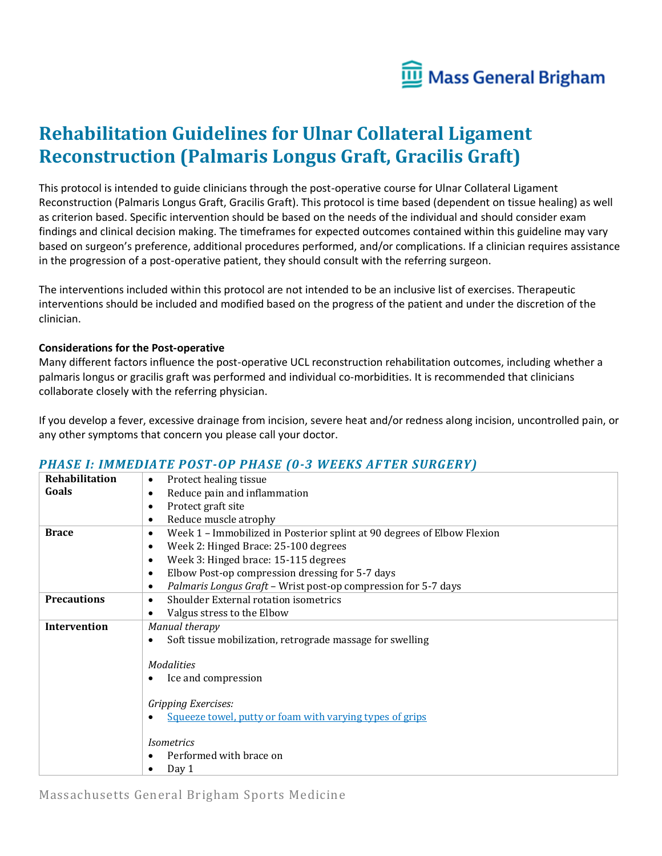

# **Rehabilitation Guidelines for Ulnar Collateral Ligament Reconstruction (Palmaris Longus Graft, Gracilis Graft)**

This protocol is intended to guide clinicians through the post-operative course for Ulnar Collateral Ligament Reconstruction (Palmaris Longus Graft, Gracilis Graft). This protocol is time based (dependent on tissue healing) as well as criterion based. Specific intervention should be based on the needs of the individual and should consider exam findings and clinical decision making. The timeframes for expected outcomes contained within this guideline may vary based on surgeon's preference, additional procedures performed, and/or complications. If a clinician requires assistance in the progression of a post-operative patient, they should consult with the referring surgeon.

The interventions included within this protocol are not intended to be an inclusive list of exercises. Therapeutic interventions should be included and modified based on the progress of the patient and under the discretion of the clinician.

#### **Considerations for the Post-operative**

Many different factors influence the post-operative UCL reconstruction rehabilitation outcomes, including whether a palmaris longus or gracilis graft was performed and individual co-morbidities. It is recommended that clinicians collaborate closely with the referring physician.

If you develop a fever, excessive drainage from incision, severe heat and/or redness along incision, uncontrolled pain, or any other symptoms that concern you please call your doctor.

#### *PHASE I: IMMEDIATE POST-OP PHASE (0-3 WEEKS AFTER SURGERY)*

| Rehabilitation     | Protect healing tissue<br>$\bullet$                                          |
|--------------------|------------------------------------------------------------------------------|
| Goals              | Reduce pain and inflammation<br>٠                                            |
|                    | Protect graft site<br>$\bullet$                                              |
|                    | Reduce muscle atrophy<br>$\bullet$                                           |
| <b>Brace</b>       | Week 1 - Immobilized in Posterior splint at 90 degrees of Elbow Flexion<br>٠ |
|                    | Week 2: Hinged Brace: 25-100 degrees<br>$\bullet$                            |
|                    | Week 3: Hinged brace: 15-115 degrees<br>$\bullet$                            |
|                    | Elbow Post-op compression dressing for 5-7 days<br>٠                         |
|                    | Palmaris Longus Graft - Wrist post-op compression for 5-7 days<br>$\bullet$  |
| <b>Precautions</b> | Shoulder External rotation isometrics<br>$\bullet$                           |
|                    | Valgus stress to the Elbow<br>$\bullet$                                      |
| Intervention       | <b>Manual therapy</b>                                                        |
|                    | Soft tissue mobilization, retrograde massage for swelling<br>$\bullet$       |
|                    |                                                                              |
|                    | <b>Modalities</b>                                                            |
|                    | Ice and compression                                                          |
|                    |                                                                              |
|                    | Gripping Exercises:                                                          |
|                    | Squeeze towel, putty or foam with varying types of grips<br>$\bullet$        |
|                    | <i>Isometrics</i>                                                            |
|                    | Performed with brace on<br>$\bullet$                                         |
|                    | Day 1                                                                        |

Massachusetts General Brigham Sports Medicine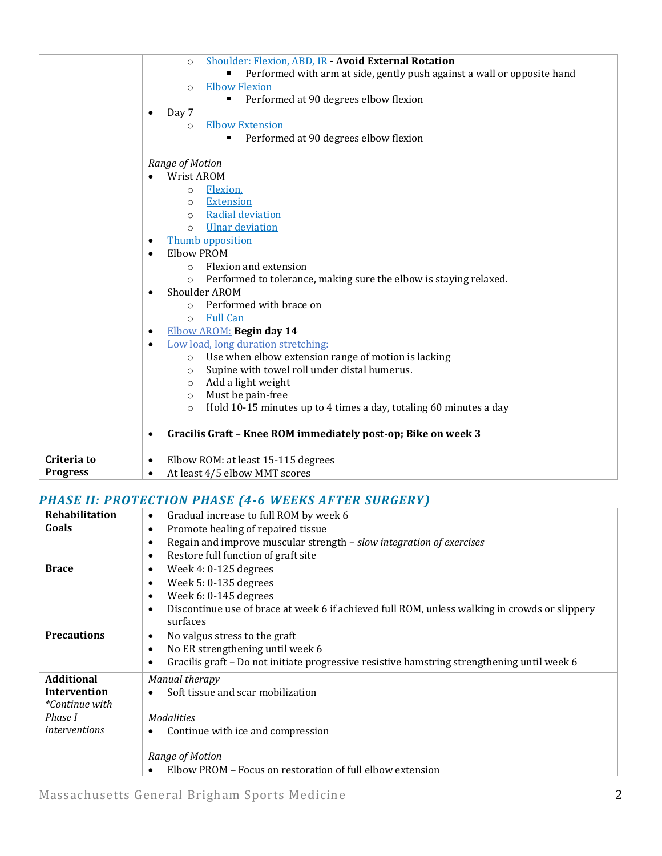|                              | Shoulder: Flexion, ABD, IR - Avoid External Rotation<br>$\circ$              |
|------------------------------|------------------------------------------------------------------------------|
|                              | Performed with arm at side, gently push against a wall or opposite hand      |
|                              | <b>Elbow Flexion</b><br>$\circ$                                              |
|                              | Performed at 90 degrees elbow flexion<br>٠                                   |
| $\bullet$                    | Day 7                                                                        |
|                              | <b>Elbow Extension</b><br>$\circ$                                            |
|                              | Performed at 90 degrees elbow flexion<br>٠                                   |
|                              | Range of Motion                                                              |
|                              | Wrist AROM                                                                   |
|                              | Flexion,<br>$\circ$                                                          |
|                              | <b>Extension</b><br>$\circ$                                                  |
|                              | Radial deviation<br>$\circ$                                                  |
|                              | <b>Ulnar deviation</b><br>$\circ$                                            |
| ٠                            | Thumb opposition                                                             |
| $\bullet$                    | <b>Elbow PROM</b>                                                            |
|                              | Flexion and extension<br>$\circ$                                             |
|                              | Performed to tolerance, making sure the elbow is staying relaxed.<br>$\circ$ |
| $\bullet$                    | Shoulder AROM                                                                |
|                              | Performed with brace on<br>$\circ$                                           |
|                              | <b>Full Can</b><br>$\circ$                                                   |
| $\bullet$                    | Elbow AROM: Begin day 14                                                     |
| $\bullet$                    | Low load, long duration stretching:                                          |
|                              | Use when elbow extension range of motion is lacking<br>$\circ$               |
|                              | Supine with towel roll under distal humerus.<br>$\circ$                      |
|                              | Add a light weight<br>$\circ$                                                |
|                              | Must be pain-free<br>$\circ$                                                 |
|                              | Hold 10-15 minutes up to 4 times a day, totaling 60 minutes a day<br>$\circ$ |
|                              |                                                                              |
| $\bullet$                    | Gracilis Graft - Knee ROM immediately post-op; Bike on week 3                |
| Criteria to<br>$\bullet$     | Elbow ROM: at least 15-115 degrees                                           |
| <b>Progress</b><br>$\bullet$ | At least 4/5 elbow MMT scores                                                |

# *PHASE II: PROTECTION PHASE (4-6 WEEKS AFTER SURGERY)*

| Rehabilitation        | Gradual increase to full ROM by week 6<br>$\bullet$                                                        |
|-----------------------|------------------------------------------------------------------------------------------------------------|
| Goals                 | Promote healing of repaired tissue<br>$\bullet$                                                            |
|                       | Regain and improve muscular strength - slow integration of exercises<br>$\bullet$                          |
|                       | Restore full function of graft site<br>$\bullet$                                                           |
| <b>Brace</b>          | Week $4: 0-125$ degrees<br>$\bullet$                                                                       |
|                       | Week 5: 0-135 degrees<br>$\bullet$                                                                         |
|                       | Week 6: 0-145 degrees<br>$\bullet$                                                                         |
|                       | Discontinue use of brace at week 6 if achieved full ROM, unless walking in crowds or slippery<br>$\bullet$ |
|                       | surfaces                                                                                                   |
| <b>Precautions</b>    | No valgus stress to the graft<br>$\bullet$                                                                 |
|                       | No ER strengthening until week 6<br>$\bullet$                                                              |
|                       | Gracilis graft – Do not initiate progressive resistive hamstring strengthening until week 6<br>$\bullet$   |
| <b>Additional</b>     | Manual therapy                                                                                             |
| Intervention          | Soft tissue and scar mobilization<br>$\bullet$                                                             |
| <i>*Continue with</i> |                                                                                                            |
| Phase I               | <b>Modalities</b>                                                                                          |
| interventions         | Continue with ice and compression                                                                          |
|                       |                                                                                                            |
|                       | Range of Motion                                                                                            |
|                       | Elbow PROM – Focus on restoration of full elbow extension<br>$\bullet$                                     |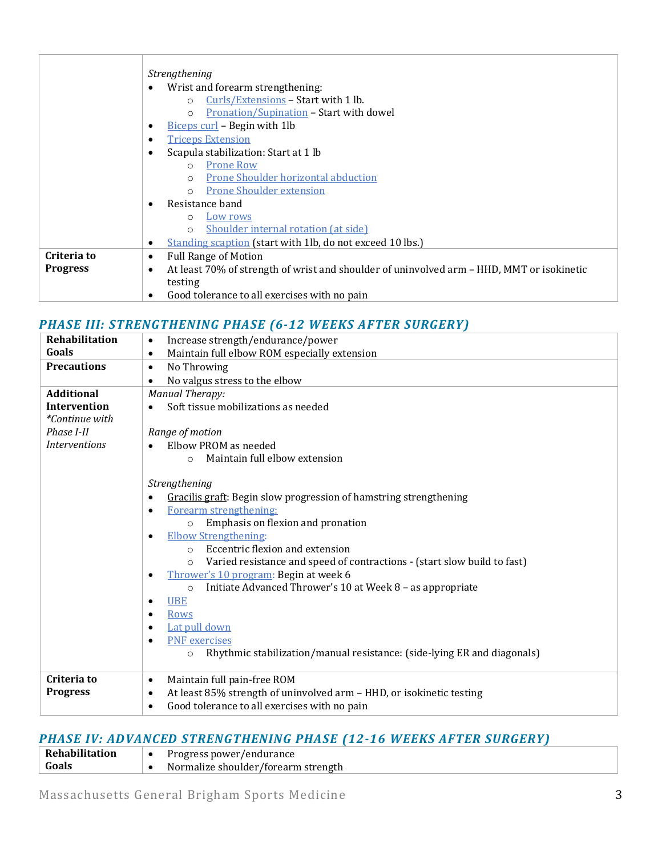|                 | Strengthening                                                                                          |
|-----------------|--------------------------------------------------------------------------------------------------------|
|                 | Wrist and forearm strengthening:<br>$\bullet$                                                          |
|                 | Curls/Extensions - Start with 1 lb.<br>$\circ$                                                         |
|                 | Pronation/Supination - Start with dowel<br>$\Omega$                                                    |
|                 | Biceps curl – Begin with 1lb<br>٠                                                                      |
|                 | <b>Triceps Extension</b><br>٠                                                                          |
|                 | Scapula stabilization: Start at 1 lb<br>$\bullet$                                                      |
|                 | <b>Prone Row</b><br>$\circ$                                                                            |
|                 | Prone Shoulder horizontal abduction<br>$\Omega$                                                        |
|                 | <b>Prone Shoulder extension</b><br>$\bigcirc$                                                          |
|                 | Resistance band<br>$\bullet$                                                                           |
|                 | Low rows<br>$\circ$                                                                                    |
|                 | Shoulder internal rotation (at side)<br>$\Omega$                                                       |
|                 | <b>Standing scaption</b> (start with 1lb, do not exceed 10 lbs.)<br>٠                                  |
| Criteria to     | <b>Full Range of Motion</b><br>$\bullet$                                                               |
| <b>Progress</b> | At least 70% of strength of wrist and shoulder of uninvolved arm - HHD, MMT or isokinetic<br>$\bullet$ |
|                 | testing                                                                                                |
|                 | Good tolerance to all exercises with no pain<br>$\bullet$                                              |

### *PHASE III: STRENGTHENING PHASE (6-12 WEEKS AFTER SURGERY)*

| Rehabilitation        | Increase strength/endurance/power<br>٠                                              |
|-----------------------|-------------------------------------------------------------------------------------|
| Goals                 | Maintain full elbow ROM especially extension<br>$\bullet$                           |
| <b>Precautions</b>    | No Throwing<br>$\bullet$                                                            |
|                       | No valgus stress to the elbow<br>$\bullet$                                          |
| <b>Additional</b>     | <b>Manual Therapy:</b>                                                              |
| <b>Intervention</b>   | Soft tissue mobilizations as needed<br>$\bullet$                                    |
| <i>*Continue with</i> |                                                                                     |
| Phase I-II            | Range of motion                                                                     |
| <i>Interventions</i>  | Elbow PROM as needed                                                                |
|                       | Maintain full elbow extension<br>$\bigcirc$                                         |
|                       |                                                                                     |
|                       | Strengthening                                                                       |
|                       | Gracilis graft: Begin slow progression of hamstring strengthening<br>$\bullet$      |
|                       | Forearm strengthening:<br>$\bullet$                                                 |
|                       | Emphasis on flexion and pronation<br>$\circ$                                        |
|                       | <b>Elbow Strengthening:</b><br>$\bullet$                                            |
|                       | Eccentric flexion and extension<br>$\circ$                                          |
|                       | Varied resistance and speed of contractions - (start slow build to fast)<br>$\circ$ |
|                       | Thrower's 10 program: Begin at week 6<br>٠                                          |
|                       | Initiate Advanced Thrower's 10 at Week 8 - as appropriate<br>$\circ$                |
|                       | <b>UBE</b><br>٠                                                                     |
|                       | <b>Rows</b><br>٠                                                                    |
|                       | Lat pull down<br>$\bullet$                                                          |
|                       | <b>PNF</b> exercises<br>$\bullet$                                                   |
|                       | Rhythmic stabilization/manual resistance: (side-lying ER and diagonals)<br>$\circ$  |
|                       |                                                                                     |
| Criteria to           | Maintain full pain-free ROM<br>$\bullet$                                            |
| <b>Progress</b>       | At least 85% strength of uninvolved arm - HHD, or isokinetic testing<br>$\bullet$   |
|                       | Good tolerance to all exercises with no pain<br>$\bullet$                           |
|                       |                                                                                     |

## *PHASE IV: ADVANCED STRENGTHENING PHASE (12-16 WEEKS AFTER SURGERY)*

| Rehabilitation | Progress power/endurance            |
|----------------|-------------------------------------|
| Goals          | Normalize shoulder/forearm strength |
|                |                                     |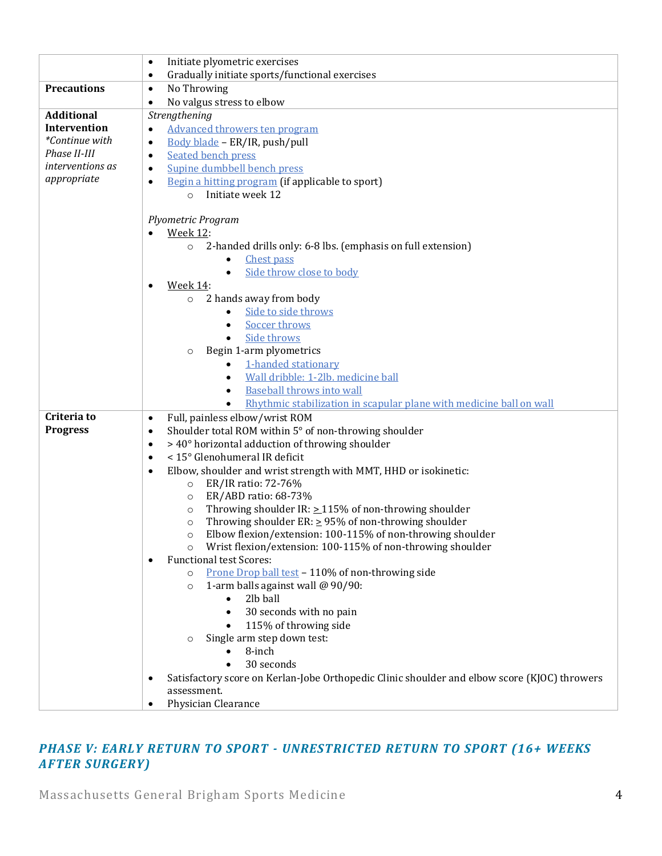|                    | Initiate plyometric exercises<br>$\bullet$                                                                |
|--------------------|-----------------------------------------------------------------------------------------------------------|
|                    | Gradually initiate sports/functional exercises<br>$\bullet$                                               |
| <b>Precautions</b> | No Throwing<br>$\bullet$                                                                                  |
|                    | No valgus stress to elbow<br>$\bullet$                                                                    |
| <b>Additional</b>  | Strengthening                                                                                             |
| Intervention       | Advanced throwers ten program<br>$\bullet$                                                                |
| *Continue with     | Body blade - ER/IR, push/pull<br>$\bullet$                                                                |
| Phase II-III       | <b>Seated bench press</b><br>$\bullet$                                                                    |
| interventions as   | Supine dumbbell bench press<br>$\bullet$                                                                  |
| appropriate        | Begin a hitting program (if applicable to sport)<br>$\bullet$                                             |
|                    | Initiate week 12<br>$\circ$                                                                               |
|                    |                                                                                                           |
|                    | Plyometric Program                                                                                        |
|                    | Week 12:                                                                                                  |
|                    | 2-handed drills only: 6-8 lbs. (emphasis on full extension)<br>$\circ$                                    |
|                    | <b>Chest pass</b>                                                                                         |
|                    | Side throw close to body<br>$\bullet$                                                                     |
|                    | <u>Week 14:</u><br>٠<br>2 hands away from body<br>$\circ$                                                 |
|                    | Side to side throws                                                                                       |
|                    | Soccer throws                                                                                             |
|                    | Side throws                                                                                               |
|                    | Begin 1-arm plyometrics<br>$\circ$                                                                        |
|                    | 1-handed stationary                                                                                       |
|                    | Wall dribble: 1-2lb. medicine ball                                                                        |
|                    | <b>Baseball throws into wall</b>                                                                          |
|                    | Rhythmic stabilization in scapular plane with medicine ball on wall                                       |
| Criteria to        | Full, painless elbow/wrist ROM<br>$\bullet$                                                               |
| <b>Progress</b>    | Shoulder total ROM within 5° of non-throwing shoulder<br>$\bullet$                                        |
|                    | > 40° horizontal adduction of throwing shoulder<br>$\bullet$                                              |
|                    | < 15° Glenohumeral IR deficit<br>$\bullet$                                                                |
|                    | Elbow, shoulder and wrist strength with MMT, HHD or isokinetic:<br>$\bullet$                              |
|                    | ER/IR ratio: 72-76%<br>$\circ$                                                                            |
|                    | ER/ABD ratio: 68-73%<br>$\circ$                                                                           |
|                    | Throwing shoulder IR: $\geq$ 115% of non-throwing shoulder<br>$\circ$                                     |
|                    | Throwing shoulder ER: $\geq$ 95% of non-throwing shoulder<br>$\circ$                                      |
|                    | Elbow flexion/extension: 100-115% of non-throwing shoulder<br>$\circ$                                     |
|                    | Wrist flexion/extension: 100-115% of non-throwing shoulder                                                |
|                    | <b>Functional test Scores:</b><br>$\bullet$<br>Prone Drop ball test - 110% of non-throwing side           |
|                    | $\circ$<br>1-arm balls against wall @ 90/90:<br>$\circ$                                                   |
|                    | 2lb ball                                                                                                  |
|                    | 30 seconds with no pain                                                                                   |
|                    | 115% of throwing side                                                                                     |
|                    | Single arm step down test:<br>$\circ$                                                                     |
|                    | 8-inch                                                                                                    |
|                    | 30 seconds                                                                                                |
|                    | Satisfactory score on Kerlan-Jobe Orthopedic Clinic shoulder and elbow score (KJOC) throwers<br>$\bullet$ |
|                    | assessment.                                                                                               |
|                    | Physician Clearance<br>٠                                                                                  |

### *PHASE V: EARLY RETURN TO SPORT - UNRESTRICTED RETURN TO SPORT (16+ WEEKS AFTER SURGERY)*

Massachusetts General Brigham Sports Medicine 4